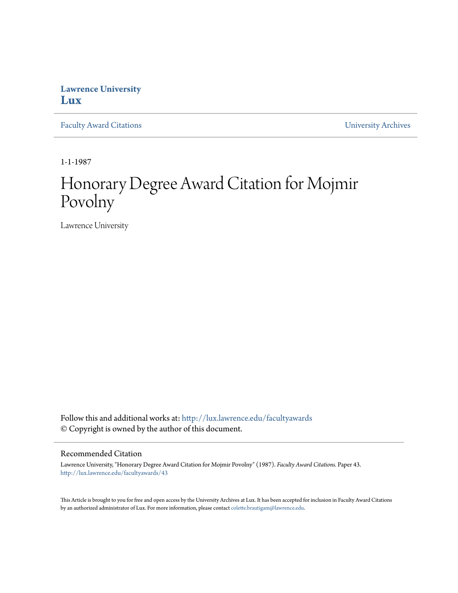## **Lawrence University [Lux](http://lux.lawrence.edu?utm_source=lux.lawrence.edu%2Ffacultyawards%2F43&utm_medium=PDF&utm_campaign=PDFCoverPages)**

[Faculty Award Citations](http://lux.lawrence.edu/facultyawards?utm_source=lux.lawrence.edu%2Ffacultyawards%2F43&utm_medium=PDF&utm_campaign=PDFCoverPages) **Example 2018** [University Archives](http://lux.lawrence.edu/archives?utm_source=lux.lawrence.edu%2Ffacultyawards%2F43&utm_medium=PDF&utm_campaign=PDFCoverPages)

1-1-1987

# Honorary Degree Award Citation for Mojmir Povolny

Lawrence University

Follow this and additional works at: [http://lux.lawrence.edu/facultyawards](http://lux.lawrence.edu/facultyawards?utm_source=lux.lawrence.edu%2Ffacultyawards%2F43&utm_medium=PDF&utm_campaign=PDFCoverPages) © Copyright is owned by the author of this document.

#### Recommended Citation

Lawrence University, "Honorary Degree Award Citation for Mojmir Povolny" (1987). *Faculty Award Citations.* Paper 43. [http://lux.lawrence.edu/facultyawards/43](http://lux.lawrence.edu/facultyawards/43?utm_source=lux.lawrence.edu%2Ffacultyawards%2F43&utm_medium=PDF&utm_campaign=PDFCoverPages)

This Article is brought to you for free and open access by the University Archives at Lux. It has been accepted for inclusion in Faculty Award Citations by an authorized administrator of Lux. For more information, please contact [colette.brautigam@lawrence.edu](mailto:colette.brautigam@lawrence.edu).